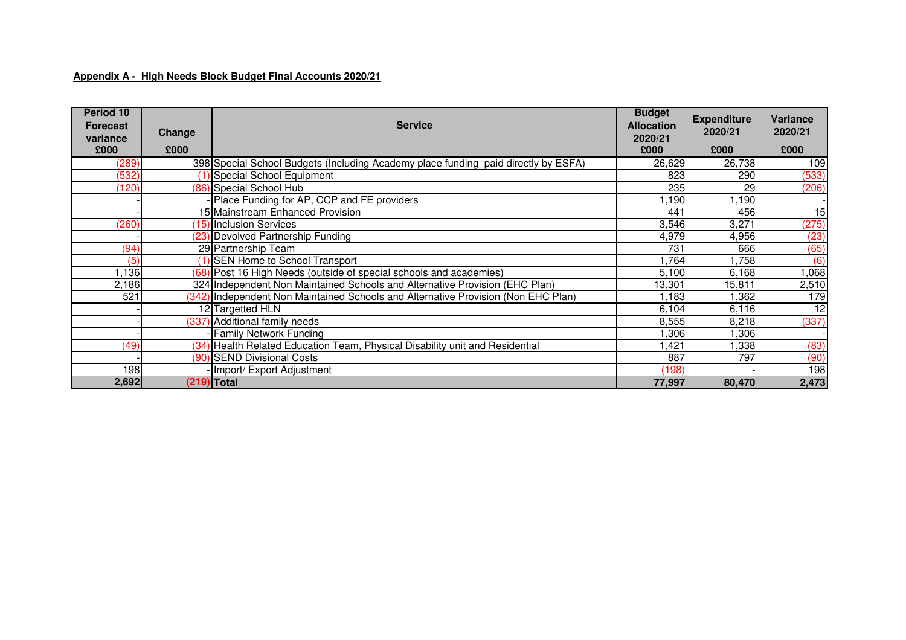## **Appendix A - High Needs Block Budget Final Accounts 2020/21**

| Period 10<br><b>Forecast</b><br>variance<br>£000 | Change<br>£000 | <b>Service</b>                                                                     | <b>Budget</b><br><b>Allocation</b><br>2020/21<br>£000 | <b>Expenditure</b><br>2020/21<br>£000 | <b>Variance</b><br>2020/21<br>£000 |
|--------------------------------------------------|----------------|------------------------------------------------------------------------------------|-------------------------------------------------------|---------------------------------------|------------------------------------|
| (289)                                            |                | 398 Special School Budgets (Including Academy place funding paid directly by ESFA) | 26,629                                                | 26,738                                | 109                                |
| (532)                                            |                | (1) Special School Equipment                                                       | 823                                                   | 290                                   | (533)                              |
| (120)                                            |                | (86) Special School Hub                                                            | 235                                                   | 29                                    | (206)                              |
|                                                  |                | Place Funding for AP, CCP and FE providers                                         | 1,190                                                 | 1,190                                 |                                    |
|                                                  |                | 15 Mainstream Enhanced Provision                                                   | 441                                                   | 456                                   | $\overline{15}$                    |
| (260)                                            |                | 15) Inclusion Services                                                             | 3,546                                                 | 3,271                                 | (275)                              |
|                                                  |                | (23) Devolved Partnership Funding                                                  | 4,979                                                 | 4,956                                 | (23)                               |
| (94)                                             |                | 29 Partnership Team                                                                | 731                                                   | 666                                   | (65)                               |
| (5)                                              |                | (1) SEN Home to School Transport                                                   | 1,764                                                 | ,758                                  | (6)                                |
| ,136                                             |                | (68) Post 16 High Needs (outside of special schools and academies)                 | 5,100                                                 | 6,168                                 | ,068                               |
| 2,186                                            |                | 324 Independent Non Maintained Schools and Alternative Provision (EHC Plan)        | 13,301                                                | 15,811                                | 2,510                              |
| 521                                              |                | (342) Independent Non Maintained Schools and Alternative Provision (Non EHC Plan)  | 1.183                                                 | ,362                                  | 179                                |
|                                                  |                | 12 Targetted HLN                                                                   | 6,104                                                 | 6,116                                 | $\overline{12}$                    |
|                                                  |                | (337) Additional family needs                                                      | 8,555                                                 | 8,218                                 | (337)                              |
|                                                  |                | <b>Family Network Funding</b>                                                      | ,306                                                  | ,306                                  |                                    |
| (49)                                             |                | (34) Health Related Education Team, Physical Disability unit and Residential       | ,421                                                  | ,338                                  | (83)                               |
|                                                  |                | (90) SEND Divisional Costs                                                         | 887                                                   | 797                                   | (90)                               |
| 198                                              |                | - Import/ Export Adjustment                                                        | (198)                                                 |                                       | 198                                |
| 2,692                                            |                | (219) Total                                                                        | 77,997                                                | 80,470                                | 2,473                              |